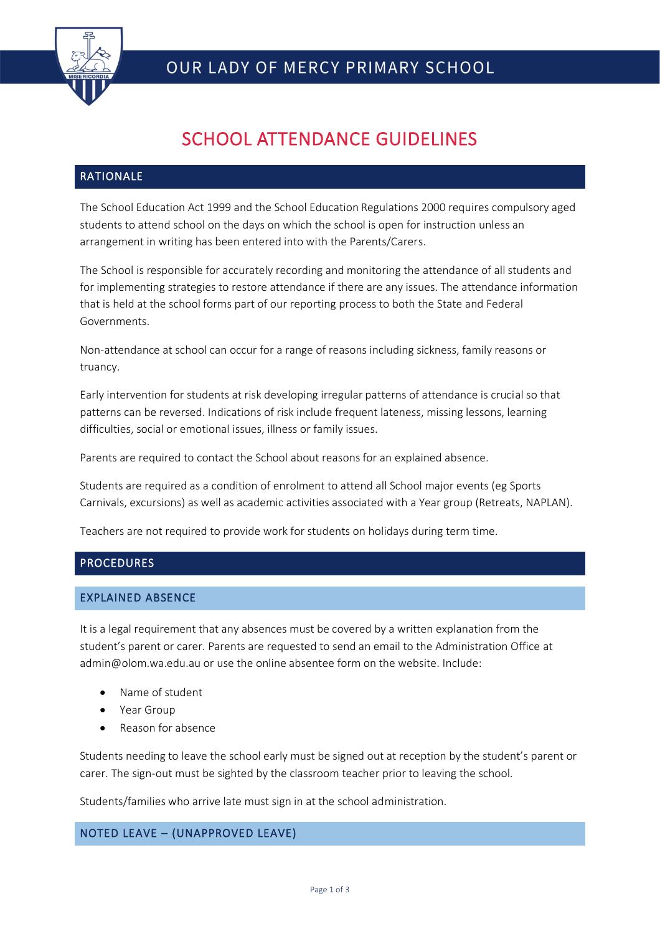

# SCHOOL ATTENDANCE GUIDELINES

# RATIONALE

The School Education Act 1999 and the School Education Regulations 2000 requires compulsory aged students to attend school on the days on which the school is open for instruction unless an arrangement in writing has been entered into with the Parents/Carers.

The School is responsible for accurately recording and monitoring the attendance of all students and for implementing strategies to restore attendance if there are any issues. The attendance information that is held at the school forms part of our reporting process to both the State and Federal Governments.

Non-attendance at school can occur for a range of reasons including sickness, family reasons or truancy.

Early intervention for students at risk developing irregular patterns of attendance is crucial so that patterns can be reversed. Indications of risk include frequent lateness, missing lessons, learning difficulties, social or emotional issues, illness or family issues.

Parents are required to contact the School about reasons for an explained absence.

Students are required as a condition of enrolment to attend all School major events (eg Sports Carnivals, excursions) as well as academic activities associated with a Year group (Retreats, NAPLAN).

Teachers are not required to provide work for students on holidays during term time.

## **PROCEDURES**

## EXPLAINED ABSENCE

It is a legal requirement that any absences must be covered by a written explanation from the student's parent or carer. Parents are requested to send an email to the Administration Office at admin@olom.wa.edu.au or use the online absentee form on the website. Include:

- Name of student
- Year Group
- Reason for absence

Students needing to leave the school early must be signed out at reception by the student's parent or carer. The sign-out must be sighted by the classroom teacher prior to leaving the school.

Students/families who arrive late must sign in at the school administration.

## NOTED LEAVE – (UNAPPROVED LEAVE)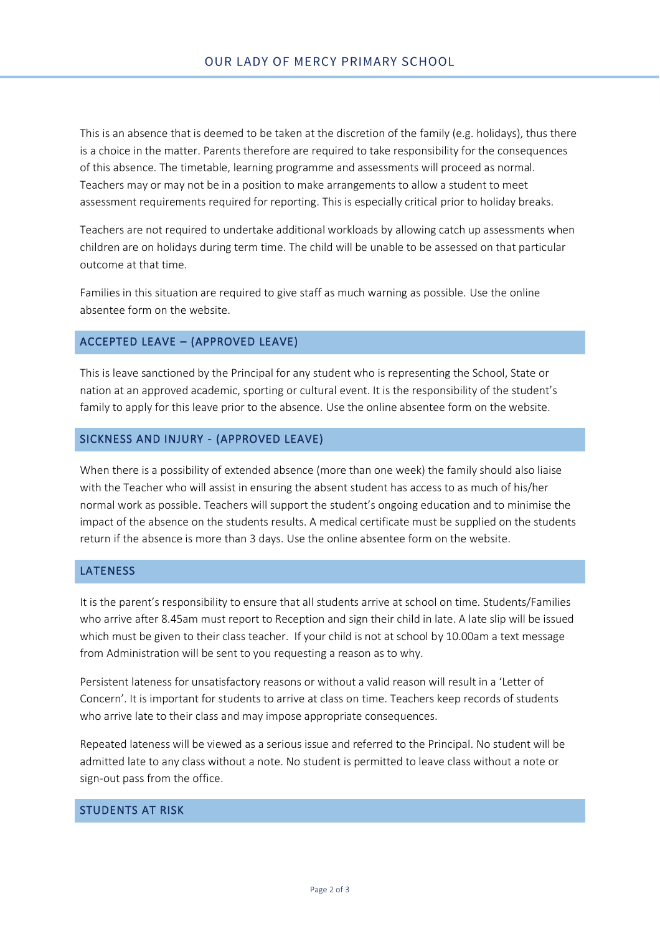This is an absence that is deemed to be taken at the discretion of the family (e.g. holidays), thus there is a choice in the matter. Parents therefore are required to take responsibility for the consequences of this absence. The timetable, learning programme and assessments will proceed as normal. Teachers may or may not be in a position to make arrangements to allow a student to meet assessment requirements required for reporting. This is especially critical prior to holiday breaks.

Teachers are not required to undertake additional workloads by allowing catch up assessments when children are on holidays during term time. The child will be unable to be assessed on that particular outcome at that time.

Families in this situation are required to give staff as much warning as possible. Use the online absentee form on the website.

## ACCEPTED LEAVE – (APPROVED LEAVE)

This is leave sanctioned by the Principal for any student who is representing the School, State or nation at an approved academic, sporting or cultural event. It is the responsibility of the student's family to apply for this leave prior to the absence. Use the online absentee form on the website.

#### SICKNESS AND INJURY - (APPROVED LEAVE)

When there is a possibility of extended absence (more than one week) the family should also liaise with the Teacher who will assist in ensuring the absent student has access to as much of his/her normal work as possible. Teachers will support the student's ongoing education and to minimise the impact of the absence on the students results. A medical certificate must be supplied on the students return if the absence is more than 3 days. Use the online absentee form on the website.

#### **LATENESS**

It is the parent's responsibility to ensure that all students arrive at school on time. Students/Families who arrive after 8.45am must report to Reception and sign their child in late. A late slip will be issued which must be given to their class teacher. If your child is not at school by 10.00am a text message from Administration will be sent to you requesting a reason as to why.

Persistent lateness for unsatisfactory reasons or without a valid reason will result in a 'Letter of Concern'. It is important for students to arrive at class on time. Teachers keep records of students who arrive late to their class and may impose appropriate consequences.

Repeated lateness will be viewed as a serious issue and referred to the Principal. No student will be admitted late to any class without a note. No student is permitted to leave class without a note or sign-out pass from the office.

#### STUDENTS AT RISK